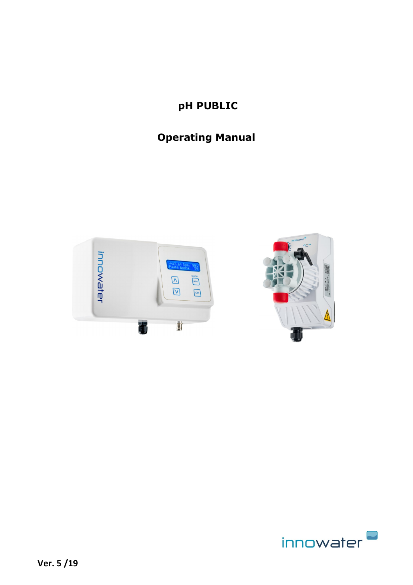# **pH PUBLIC**

# **Operating Manual**





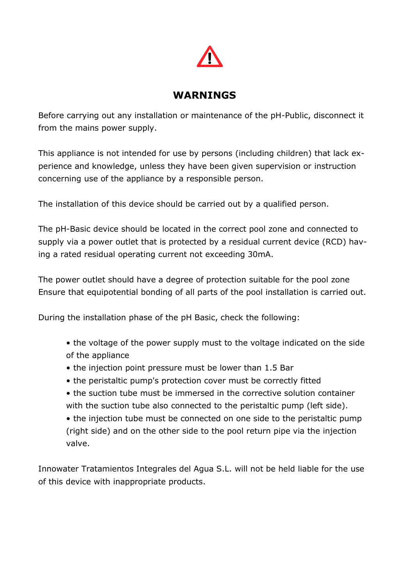

# **WARNINGS**

Before carrying out any installation or maintenance of the pH-Public, disconnect it from the mains power supply.

This appliance is not intended for use by persons (including children) that lack experience and knowledge, unless they have been given supervision or instruction concerning use of the appliance by a responsible person.

The installation of this device should be carried out by a qualified person.

The pH-Basic device should be located in the correct pool zone and connected to supply via a power outlet that is protected by a residual current device (RCD) having a rated residual operating current not exceeding 30mA.

The power outlet should have a degree of protection suitable for the pool zone Ensure that equipotential bonding of all parts of the pool installation is carried out.

During the installation phase of the pH Basic, check the following:

- the voltage of the power supply must to the voltage indicated on the side of the appliance
- the injection point pressure must be lower than 1.5 Bar
- the peristaltic pump's protection cover must be correctly fitted
- the suction tube must be immersed in the corrective solution container with the suction tube also connected to the peristaltic pump (left side).
- the injection tube must be connected on one side to the peristaltic pump (right side) and on the other side to the pool return pipe via the injection valve.

Innowater Tratamientos Integrales del Agua S.L. will not be held liable for the use of this device with inappropriate products.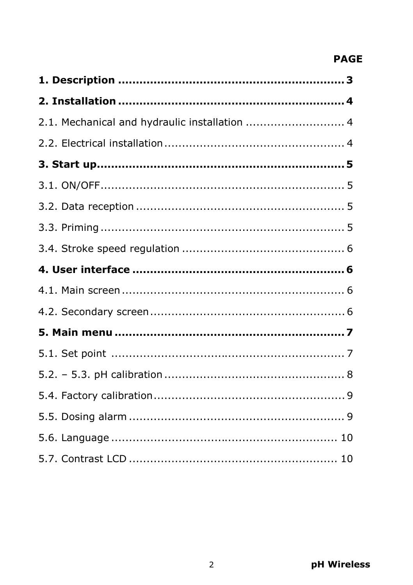# **PAGE**

| 2.1. Mechanical and hydraulic installation  4 |
|-----------------------------------------------|
|                                               |
|                                               |
|                                               |
|                                               |
|                                               |
|                                               |
|                                               |
|                                               |
|                                               |
|                                               |
|                                               |
|                                               |
|                                               |
|                                               |
|                                               |
|                                               |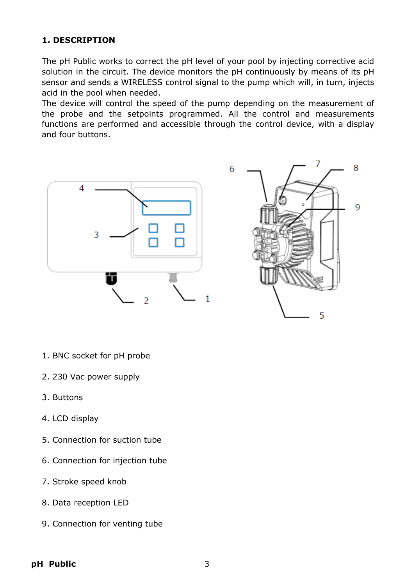# **1. DESCRIPTION**

The pH Public works to correct the pH level of your pool by injecting corrective acid solution in the circuit. The device monitors the pH continuously by means of its pH sensor and sends a WIRELESS control signal to the pump which will, in turn, injects acid in the pool when needed.

The device will control the speed of the pump depending on the measurement of the probe and the setpoints programmed. All the control and measurements functions are performed and accessible through the control device, with a display and four buttons.



- 1. BNC socket for pH probe
- 2. 230 Vac power supply
- 3. Buttons
- 4. LCD display
- 5. Connection for suction tube
- 6. Connection for injection tube
- 7. Stroke speed knob
- 8. Data reception LED
- 9. Connection for venting tube

**pH Public** 3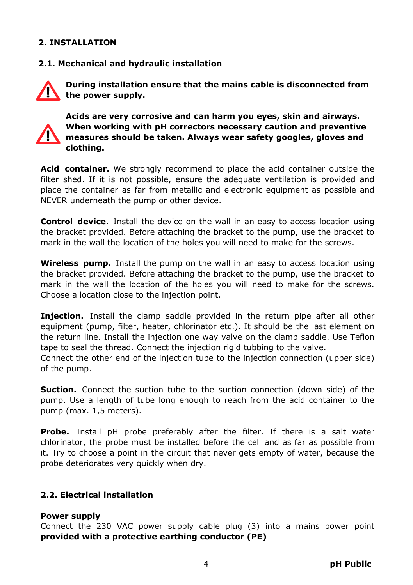#### **2. INSTALLATION**

#### **2.1. Mechanical and hydraulic installation**



**During installation ensure that the mains cable is disconnected from the power supply.**



**Acids are very corrosive and can harm you eyes, skin and airways. When working with pH correctors necessary caution and preventive measures should be taken. Always wear safety googles, gloves and clothing.**

**Acid container.** We strongly recommend to place the acid container outside the filter shed. If it is not possible, ensure the adequate ventilation is provided and place the container as far from metallic and electronic equipment as possible and NEVER underneath the pump or other device.

**Control device.** Install the device on the wall in an easy to access location using the bracket provided. Before attaching the bracket to the pump, use the bracket to mark in the wall the location of the holes you will need to make for the screws.

**Wireless pump.** Install the pump on the wall in an easy to access location using the bracket provided. Before attaching the bracket to the pump, use the bracket to mark in the wall the location of the holes you will need to make for the screws. Choose a location close to the injection point.

**Injection.** Install the clamp saddle provided in the return pipe after all other equipment (pump, filter, heater, chlorinator etc.). It should be the last element on the return line. Install the injection one way valve on the clamp saddle. Use Teflon tape to seal the thread. Connect the injection rigid tubbing to the valve.

Connect the other end of the injection tube to the injection connection (upper side) of the pump.

**Suction.** Connect the suction tube to the suction connection (down side) of the pump. Use a length of tube long enough to reach from the acid container to the pump (max. 1,5 meters).

**Probe.** Install pH probe preferably after the filter. If there is a salt water chlorinator, the probe must be installed before the cell and as far as possible from it. Try to choose a point in the circuit that never gets empty of water, because the probe deteriorates very quickly when dry.

## **2.2. Electrical installation**

#### **Power supply**

Connect the 230 VAC power supply cable plug (3) into a mains power point **provided with a protective earthing conductor (PE)**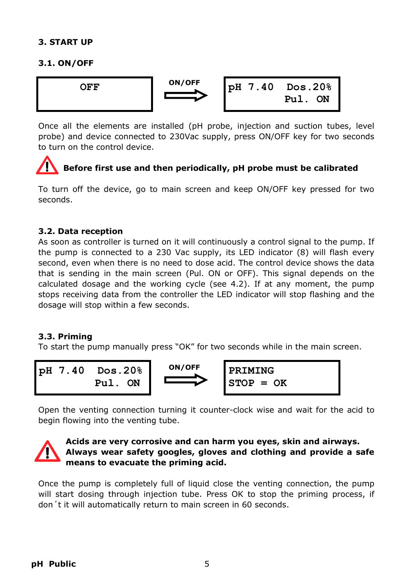#### **3. START UP**

#### **3.1. ON/OFF**



Once all the elements are installed (pH probe, injection and suction tubes, level probe) and device connected to 230Vac supply, press ON/OFF key for two seconds to turn on the control device.

# **Before first use and then periodically, pH probe must be calibrated**

To turn off the device, go to main screen and keep ON/OFF key pressed for two seconds.

#### **3.2. Data reception**

As soon as controller is turned on it will continuously a control signal to the pump. If the pump is connected to a 230 Vac supply, its LED indicator (8) will flash every second, even when there is no need to dose acid. The control device shows the data that is sending in the main screen (Pul. ON or OFF). This signal depends on the calculated dosage and the working cycle (see 4.2). If at any moment, the pump stops receiving data from the controller the LED indicator will stop flashing and the dosage will stop within a few seconds.

#### **3.3. Priming**

To start the pump manually press "OK" for two seconds while in the main screen.



Open the venting connection turning it counter-clock wise and wait for the acid to begin flowing into the venting tube.



#### **Acids are very corrosive and can harm you eyes, skin and airways. Always wear safety googles, gloves and clothing and provide a safe means to evacuate the priming acid.**

Once the pump is completely full of liquid close the venting connection, the pump will start dosing through injection tube. Press OK to stop the priming process, if don´t it will automatically return to main screen in 60 seconds.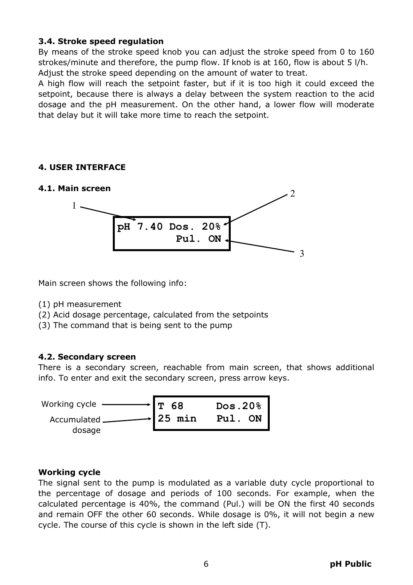#### **3.4. Stroke speed regulation**

By means of the stroke speed knob you can adjust the stroke speed from 0 to 160 strokes/minute and therefore, the pump flow. If knob is at 160, flow is about 5 l/h. Adjust the stroke speed depending on the amount of water to treat.

A high flow will reach the setpoint faster, but if it is too high it could exceed the setpoint, because there is always a delay between the system reaction to the acid dosage and the pH measurement. On the other hand, a lower flow will moderate that delay but it will take more time to reach the setpoint.

#### **4. USER INTERFACE**

#### **4.1. Main screen**



Main screen shows the following info:

- (1) pH measurement
- (2) Acid dosage percentage, calculated from the setpoints
- (3) The command that is being sent to the pump

#### **4.2. Secondary screen**

There is a secondary screen, reachable from main screen, that shows additional info. To enter and exit the secondary screen, press arrow keys.



#### **Working cycle**

The signal sent to the pump is modulated as a variable duty cycle proportional to the percentage of dosage and periods of 100 seconds. For example, when the calculated percentage is 40%, the command (Pul.) will be ON the first 40 seconds and remain OFF the other 60 seconds. While dosage is 0%, it will not begin a new cycle. The course of this cycle is shown in the left side (T).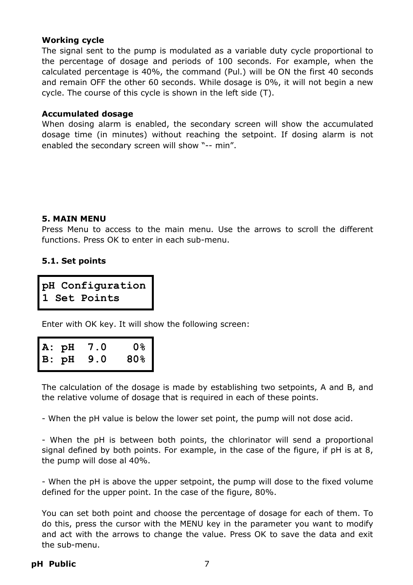#### **Working cycle**

The signal sent to the pump is modulated as a variable duty cycle proportional to the percentage of dosage and periods of 100 seconds. For example, when the calculated percentage is 40%, the command (Pul.) will be ON the first 40 seconds and remain OFF the other 60 seconds. While dosage is 0%, it will not begin a new cycle. The course of this cycle is shown in the left side (T).

#### **Accumulated dosage**

When dosing alarm is enabled, the secondary screen will show the accumulated dosage time (in minutes) without reaching the setpoint. If dosing alarm is not enabled the secondary screen will show "-- min".

#### **5. MAIN MENU**

Press Menu to access to the main menu. Use the arrows to scroll the different functions. Press OK to enter in each sub-menu.

#### **5.1. Set points**

**pH Configuration 1 Set Points**

Enter with OK key. It will show the following screen:

|  | A: pH 7.0 | <u>0%</u>       |
|--|-----------|-----------------|
|  | B: pH 9.0 | 80 <sub>8</sub> |

The calculation of the dosage is made by establishing two setpoints, A and B, and the relative volume of dosage that is required in each of these points.

- When the pH value is below the lower set point, the pump will not dose acid.

- When the pH is between both points, the chlorinator will send a proportional signal defined by both points. For example, in the case of the figure, if pH is at 8, the pump will dose al 40%.

- When the pH is above the upper setpoint, the pump will dose to the fixed volume defined for the upper point. In the case of the figure, 80%.

You can set both point and choose the percentage of dosage for each of them. To do this, press the cursor with the MENU key in the parameter you want to modify and act with the arrows to change the value. Press OK to save the data and exit the sub-menu.

#### **pH Public** 7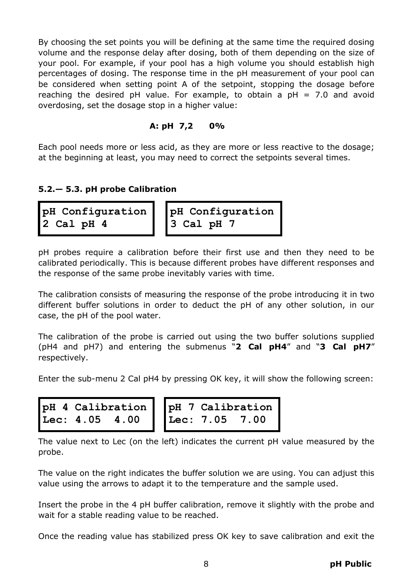By choosing the set points you will be defining at the same time the required dosing volume and the response delay after dosing, both of them depending on the size of your pool. For example, if your pool has a high volume you should establish high percentages of dosing. The response time in the pH measurement of your pool can be considered when setting point A of the setpoint, stopping the dosage before reaching the desired pH value. For example, to obtain a  $pH = 7.0$  and avoid overdosing, set the dosage stop in a higher value:

#### **A: pH 7,2 0%**

Each pool needs more or less acid, as they are more or less reactive to the dosage; at the beginning at least, you may need to correct the setpoints several times.

#### **5.2.— 5.3. pH probe Calibration**

```
pH Configuration
2 Cal pH 4
```
**pH Configuration 3 Cal pH 7**

pH probes require a calibration before their first use and then they need to be calibrated periodically. This is because different probes have different responses and the response of the same probe inevitably varies with time.

The calibration consists of measuring the response of the probe introducing it in two different buffer solutions in order to deduct the pH of any other solution, in our case, the pH of the pool water.

The calibration of the probe is carried out using the two buffer solutions supplied (pH4 and pH7) and entering the submenus "**2 Cal pH4**" and "**3 Cal pH7**" respectively.

Enter the sub-menu 2 Cal pH4 by pressing OK key, it will show the following screen:



```
pH 7 Calibration
Lec: 7.05 7.00
```
The value next to Lec (on the left) indicates the current pH value measured by the probe.

The value on the right indicates the buffer solution we are using. You can adjust this value using the arrows to adapt it to the temperature and the sample used.

Insert the probe in the 4 pH buffer calibration, remove it slightly with the probe and wait for a stable reading value to be reached.

Once the reading value has stabilized press OK key to save calibration and exit the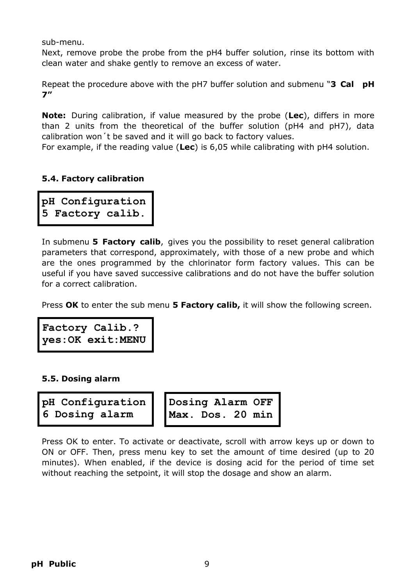sub-menu.

Next, remove probe the probe from the pH4 buffer solution, rinse its bottom with clean water and shake gently to remove an excess of water.

Repeat the procedure above with the pH7 buffer solution and submenu "**3 Cal pH 7"** 

**Note:** During calibration, if value measured by the probe (**Lec**), differs in more than 2 units from the theoretical of the buffer solution (pH4 and pH7), data calibration won´t be saved and it will go back to factory values.

For example, if the reading value (**Lec**) is 6,05 while calibrating with pH4 solution.

#### **5.4. Factory calibration**

**pH Configuration 5 Factory calib.**

In submenu **5 Factory calib**, gives you the possibility to reset general calibration parameters that correspond, approximately, with those of a new probe and which are the ones programmed by the chlorinator form factory values. This can be useful if you have saved successive calibrations and do not have the buffer solution for a correct calibration.

Press **OK** to enter the sub menu **5 Factory calib,** it will show the following screen.

**Factory Calib.? yes:OK exit:MENU** 

#### **5.5. Dosing alarm**

**pH Configuration 6 Dosing alarm**

**Dosing Alarm OFF Max. Dos. 20 min**

Press OK to enter. To activate or deactivate, scroll with arrow keys up or down to ON or OFF. Then, press menu key to set the amount of time desired (up to 20 minutes). When enabled, if the device is dosing acid for the period of time set without reaching the setpoint, it will stop the dosage and show an alarm.